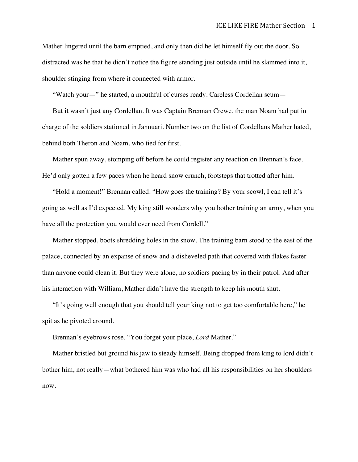Mather lingered until the barn emptied, and only then did he let himself fly out the door. So distracted was he that he didn't notice the figure standing just outside until he slammed into it, shoulder stinging from where it connected with armor.

"Watch your—" he started, a mouthful of curses ready. Careless Cordellan scum—

But it wasn't just any Cordellan. It was Captain Brennan Crewe, the man Noam had put in charge of the soldiers stationed in Jannuari. Number two on the list of Cordellans Mather hated, behind both Theron and Noam, who tied for first.

Mather spun away, stomping off before he could register any reaction on Brennan's face. He'd only gotten a few paces when he heard snow crunch, footsteps that trotted after him.

"Hold a moment!" Brennan called. "How goes the training? By your scowl, I can tell it's going as well as I'd expected. My king still wonders why you bother training an army, when you have all the protection you would ever need from Cordell."

Mather stopped, boots shredding holes in the snow. The training barn stood to the east of the palace, connected by an expanse of snow and a disheveled path that covered with flakes faster than anyone could clean it. But they were alone, no soldiers pacing by in their patrol. And after his interaction with William, Mather didn't have the strength to keep his mouth shut.

"It's going well enough that you should tell your king not to get too comfortable here," he spit as he pivoted around.

Brennan's eyebrows rose. "You forget your place, *Lord* Mather."

Mather bristled but ground his jaw to steady himself. Being dropped from king to lord didn't bother him, not really—what bothered him was who had all his responsibilities on her shoulders now.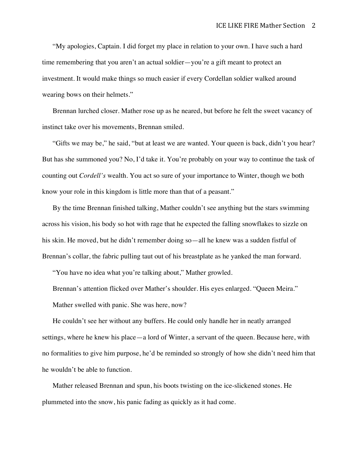"My apologies, Captain. I did forget my place in relation to your own. I have such a hard time remembering that you aren't an actual soldier—you're a gift meant to protect an investment. It would make things so much easier if every Cordellan soldier walked around wearing bows on their helmets."

Brennan lurched closer. Mather rose up as he neared, but before he felt the sweet vacancy of instinct take over his movements, Brennan smiled.

"Gifts we may be," he said, "but at least we are wanted. Your queen is back, didn't you hear? But has she summoned you? No, I'd take it. You're probably on your way to continue the task of counting out *Cordell's* wealth. You act so sure of your importance to Winter, though we both know your role in this kingdom is little more than that of a peasant."

By the time Brennan finished talking, Mather couldn't see anything but the stars swimming across his vision, his body so hot with rage that he expected the falling snowflakes to sizzle on his skin. He moved, but he didn't remember doing so—all he knew was a sudden fistful of Brennan's collar, the fabric pulling taut out of his breastplate as he yanked the man forward.

"You have no idea what you're talking about," Mather growled.

Brennan's attention flicked over Mather's shoulder. His eyes enlarged. "Queen Meira." Mather swelled with panic. She was here, now?

He couldn't see her without any buffers. He could only handle her in neatly arranged settings, where he knew his place—a lord of Winter, a servant of the queen. Because here, with no formalities to give him purpose, he'd be reminded so strongly of how she didn't need him that he wouldn't be able to function.

Mather released Brennan and spun, his boots twisting on the ice-slickened stones. He plummeted into the snow, his panic fading as quickly as it had come.